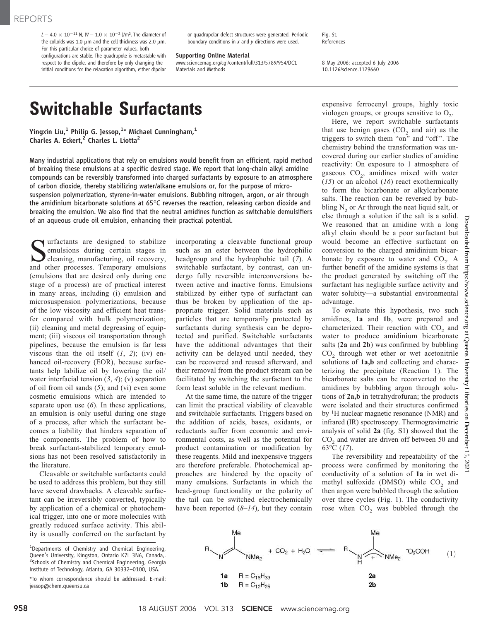$L = 4.0 \times 10^{-11}$  N,  $W = 1.0 \times 10^{-2}$  J/m<sup>2</sup>. The diameter of the colloids was 1.0  $\mu$ m and the cell thickness was 2.0  $\mu$ m. For this particular choice of parameter values, both configurations are stable. The quadrupole is metastable with respect to the dipole, and therefore by only changing the initial conditions for the relaxation algorithm, either dipolar or quadrupolar defect structures were generated. Periodic boundary conditions in  $x$  and  $y$  directions were used.

Supporting Online Material www.sciencemag.org/cgi/content/full/313/5789/954/DC1 Materials and Methods

Fig. S1 References

8 May 2006; accepted 6 July 2006 10.1126/science.1129660

# Switchable Surfactants

Yingxin Liu, $^1$  Philip G. Jessop, $^{1\star}$  Michael Cunningham, $^1$ Charles A. Eckert, $^2$  Charles L. Liotta<sup>2</sup>

Many industrial applications that rely on emulsions would benefit from an efficient, rapid method of breaking these emulsions at a specific desired stage. We report that long-chain alkyl amidine compounds can be reversibly transformed into charged surfactants by exposure to an atmosphere of carbon dioxide, thereby stabilizing water/alkane emulsions or, for the purpose of microsuspension polymerization, styrene-in-water emulsions. Bubbling nitrogen, argon, or air through the amidinium bicarbonate solutions at 65°C reverses the reaction, releasing carbon dioxide and breaking the emulsion. We also find that the neutral amidines function as switchable demulsifiers of an aqueous crude oil emulsion, enhancing their practical potential.

I urfactants are designed to stabilize emulsions during certain stages in cleaning, manufacturing, oil recovery, and other processes. Temporary emulsions (emulsions that are desired only during one stage of a process) are of practical interest in many areas, including (i) emulsion and microsuspension polymerizations, because of the low viscosity and efficient heat transfer compared with bulk polymerization; (ii) cleaning and metal degreasing of equipment; (iii) viscous oil transportation through pipelines, because the emulsion is far less viscous than the oil itself  $(1, 2)$ ; (iv) enhanced oil-recovery (EOR), because surfactants help labilize oil by lowering the oil/ water interfacial tension  $(3, 4)$ ; (v) separation of oil from oil sands  $(5)$ ; and  $(vi)$  even some cosmetic emulsions which are intended to separate upon use  $(6)$ . In these applications, an emulsion is only useful during one stage of a process, after which the surfactant becomes a liability that hinders separation of the components. The problem of how to break surfactant-stabilized temporary emulsions has not been resolved satisfactorily in the literature.

Cleavable or switchable surfactants could be used to address this problem, but they still have several drawbacks. A cleavable surfactant can be irreversibly converted, typically by application of a chemical or photochemical trigger, into one or more molecules with greatly reduced surface activity. This ability is usually conferred on the surfactant by

\*To whom correspondence should be addressed. E-mail: jessop@chem.queensu.ca

incorporating a cleavable functional group such as an ester between the hydrophilic headgroup and the hydrophobic tail (7). A switchable surfactant, by contrast, can undergo fully reversible interconversions between active and inactive forms. Emulsions stabilized by either type of surfactant can thus be broken by application of the appropriate trigger. Solid materials such as particles that are temporarily protected by surfactants during synthesis can be deprotected and purified. Switchable surfactants have the additional advantages that their activity can be delayed until needed, they can be recovered and reused afterward, and their removal from the product stream can be facilitated by switching the surfactant to the form least soluble in the relevant medium.

At the same time, the nature of the trigger can limit the practical viability of cleavable and switchable surfactants. Triggers based on the addition of acids, bases, oxidants, or reductants suffer from economic and environmental costs, as well as the potential for product contamination or modification by these reagents. Mild and inexpensive triggers are therefore preferable. Photochemical approaches are hindered by the opacity of many emulsions. Surfactants in which the head-group functionality or the polarity of the tail can be switched electrochemically have been reported  $(8-14)$ , but they contain

expensive ferrocenyl groups, highly toxic viologen groups, or groups sensitive to  $O<sub>2</sub>$ .

Here, we report switchable surfactants that use benign gases  $(CO<sub>2</sub>)$  and air) as the triggers to switch them "on" and "off". The chemistry behind the transformation was uncovered during our earlier studies of amidine reactivity: On exposure to 1 atmosphere of gaseous  $CO<sub>2</sub>$ , amidines mixed with water  $(15)$  or an alcohol  $(16)$  react exothermically to form the bicarbonate or alkylcarbonate salts. The reaction can be reversed by bubbling  $N<sub>2</sub>$  or Ar through the neat liquid salt, or else through a solution if the salt is a solid. We reasoned that an amidine with a long alkyl chain should be a poor surfactant but would become an effective surfactant on conversion to the charged amidinium bicarbonate by exposure to water and  $CO<sub>2</sub>$ . A further benefit of the amidine systems is that the product generated by switching off the surfactant has negligible surface activity and water solubity—a substantial environmental advantage.

To evaluate this hypothesis, two such amidines, 1a and 1b, were prepared and characterized. Their reaction with CO<sub>2</sub> and water to produce amidinium bicarbonate salts (2a and 2b) was confirmed by bubbling CO<sub>2</sub> through wet ether or wet acetonitrile solutions of 1a,b and collecting and characterizing the precipitate (Reaction 1). The bicarbonate salts can be reconverted to the amidines by bubbling argon through solutions of 2a,b in tetrahydrofuran; the products were isolated and their structures confirmed by <sup>1</sup>H nuclear magnetic resonance (NMR) and infrared (IR) spectroscopy. Thermogravimetric analysis of solid 2a (fig. S1) showed that the CO<sub>2</sub> and water are driven off between 50 and  $63^{\circ}$ C (17).

The reversibility and repeatability of the process were confirmed by monitoring the conductivity of a solution of 1a in wet dimethyl sulfoxide (DMSO) while CO<sub>2</sub> and then argon were bubbled through the solution over three cycles (Fig. 1). The conductivity rose when  $CO<sub>2</sub>$  was bubbled through the



<sup>&</sup>lt;sup>1</sup>Departments of Chemistry and Chemical Engineering, Queen's University, Kingston, Ontario K7L 3N6, Canada,. <sup>2</sup> Schools of Chemistry and Chemical Engineering, Georgia Institute of Technology, Atlanta, GA 30332–0100, USA.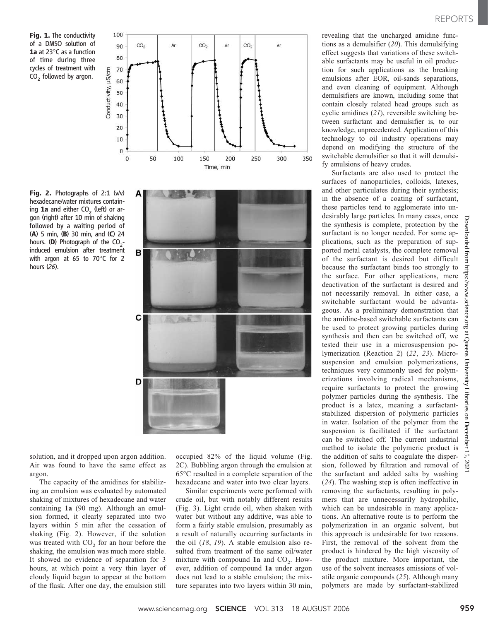Fig. 1. The conductivity of a DMSO solution of 1a at 23°C as a function of time during three cycles of treatment with  $CO<sub>2</sub>$  followed by argon.



Fig. 2. Photographs of 2:1 (v/v) hexadecane/water mixtures containing  $1a$  and either  $CO<sub>2</sub>$  (left) or argon (right) after 10 min of shaking followed by a waiting period of (A) 5 min, (B) 30 min, and (C) 24 hours. (D) Photograph of the  $CO_2$ induced emulsion after treatment with argon at 65 to 70 $^{\circ}$ C for 2 hours (26).



solution, and it dropped upon argon addition. Air was found to have the same effect as argon.

The capacity of the amidines for stabilizing an emulsion was evaluated by automated shaking of mixtures of hexadecane and water containing 1a (90 mg). Although an emulsion formed, it clearly separated into two layers within 5 min after the cessation of shaking (Fig. 2). However, if the solution was treated with  $CO<sub>2</sub>$  for an hour before the shaking, the emulsion was much more stable. It showed no evidence of separation for 3 hours, at which point a very thin layer of cloudy liquid began to appear at the bottom of the flask. After one day, the emulsion still

occupied 82% of the liquid volume (Fig. 2C). Bubbling argon through the emulsion at  $65^{\circ}$ C resulted in a complete separation of the hexadecane and water into two clear layers.

Similar experiments were performed with crude oil, but with notably different results (Fig. 3). Light crude oil, when shaken with water but without any additive, was able to form a fairly stable emulsion, presumably as a result of naturally occurring surfactants in the oil  $(18, 19)$ . A stable emulsion also resulted from treatment of the same oil/water mixture with compound  $1a$  and  $CO<sub>2</sub>$ . However, addition of compound 1a under argon does not lead to a stable emulsion; the mixture separates into two layers within 30 min,

revealing that the uncharged amidine functions as a demulsifier  $(20)$ . This demulsifying effect suggests that variations of these switchable surfactants may be useful in oil production for such applications as the breaking emulsions after EOR, oil-sands separations, and even cleaning of equipment. Although demulsifiers are known, including some that contain closely related head groups such as cyclic amidines (21), reversible switching between surfactant and demulsifier is, to our knowledge, unprecedented. Application of this technology to oil industry operations may depend on modifying the structure of the switchable demulsifier so that it will demulsify emulsions of heavy crudes.

Surfactants are also used to protect the surfaces of nanoparticles, colloids, latexes, and other particulates during their synthesis; in the absence of a coating of surfactant, these particles tend to agglomerate into undesirably large particles. In many cases, once the synthesis is complete, protection by the surfactant is no longer needed. For some applications, such as the preparation of supported metal catalysts, the complete removal of the surfactant is desired but difficult because the surfactant binds too strongly to the surface. For other applications, mere deactivation of the surfactant is desired and not necessarily removal. In either case, a switchable surfactant would be advantageous. As a preliminary demonstration that the amidine-based switchable surfactants can be used to protect growing particles during synthesis and then can be switched off, we tested their use in a microsuspension polymerization (Reaction 2) (22, 23). Microsuspension and emulsion polymerizations, techniques very commonly used for polymerizations involving radical mechanisms, require surfactants to protect the growing polymer particles during the synthesis. The product is a latex, meaning a surfactantstabilized dispersion of polymeric particles in water. Isolation of the polymer from the suspension is facilitated if the surfactant can be switched off. The current industrial method to isolate the polymeric product is the addition of salts to coagulate the dispersion, followed by filtration and removal of the surfactant and added salts by washing (24). The washing step is often ineffective in removing the surfactants, resulting in polymers that are unnecessarily hydrophilic, which can be undesirable in many applications. An alternative route is to perform the polymerization in an organic solvent, but this approach is undesirable for two reasons. First, the removal of the solvent from the product is hindered by the high viscosity of the product mixture. More important, the use of the solvent increases emissions of volatile organic compounds (25). Although many polymers are made by surfactant-stabilized was the state of the start in the state of the state of the state of the state of the state of the state of the state of the state of the state of the state of the state of the state of the state of the state of the state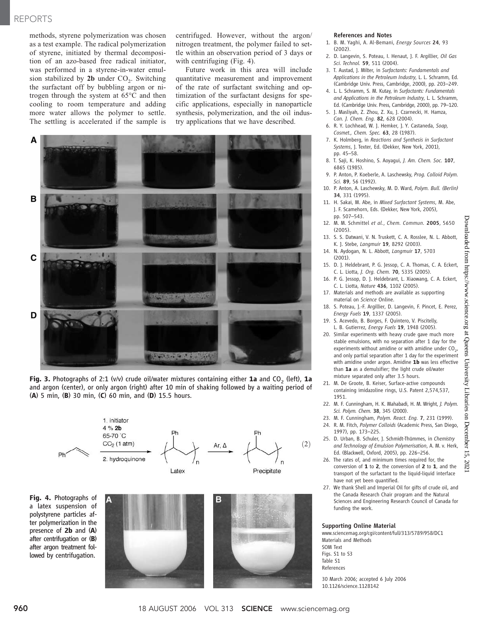## REPORTS

methods, styrene polymerization was chosen as a test example. The radical polymerization of styrene, initiated by thermal decomposition of an azo-based free radical initiator, was performed in a styrene-in-water emulsion stabilized by  $2b$  under  $CO<sub>2</sub>$ . Switching the surfactant off by bubbling argon or nitrogen through the system at 65°C and then cooling to room temperature and adding more water allows the polymer to settle. The settling is accelerated if the sample is

centrifuged. However, without the argon/ nitrogen treatment, the polymer failed to settle within an observation period of 3 days or with centrifuging (Fig. 4).

Future work in this area will include quantitative measurement and improvement of the rate of surfactant switching and optimization of the surfactant designs for specific applications, especially in nanoparticle synthesis, polymerization, and the oil industry applications that we have described.



Fig. 3. Photographs of 2:1 (v/v) crude oil/water mixtures containing either 1a and CO<sub>3</sub> (left), 1a and argon (center), or only argon (right) after 10 min of shaking followed by a waiting period of (A) 5 min, (B) 30 min, (C) 60 min, and (D) 15.5 hours.



### a latex suspension of polystyrene particles after polymerization in the presence of 2b and (A) after centrifugation or (B) after argon treatment followed by centrifugation.



#### References and Notes

- 1. B. M. Yaghi, A. Al-Bemani, Energy Sources 24, 93 (2002).
- 2. D. Langevin, S. Poteau, I. Henaut, J. F. Argillier, Oil Gas Sci. Technol. 59, 511 (2004).
- 3. T. Austad, J. Milter, in Surfactants: Fundamentals and Applications in the Petroleum Industry, L. L. Schramm, Ed. (Cambridge Univ. Press, Cambridge, 2000), pp. 203–249.
- 4. L. L. Schramm, S. M. Kutay, in Surfactants: Fundamentals and Applications in the Petroleum Industry, L. L. Schramm, Ed. (Cambridge Univ. Press, Cambridge, 2000), pp. 79–120.
- 5. J. Masliyah, Z. Zhou, Z. Xu, J. Czarnecki, H. Hamza, Can. J. Chem. Eng. 82, 628 (2004).
- 6. R. Y. Lochhead, W. J. Hemker, J. Y. Castaneda, Soap, Cosmet., Chem. Spec. 63, 28 (1987).
- 7. K. Holmberg, in Reactions and Synthesis in Surfactant Systems, J. Texter, Ed. (Dekker, New York, 2001), pp. 45–58.
- 8. T. Saji, K. Hoshino, S. Aoyagui, J. Am. Chem. Soc. 107, 6865 (1985).
- 9. P. Anton, P. Koeberle, A. Laschewsky, Prog. Colloid Polym. Sci. 89, 56 (1992).
- 10. P. Anton, A. Laschewsky, M. D. Ward, Polym. Bull. (Berlin) 34, 331 (1995).
- 11. H. Sakai, M. Abe, in Mixed Surfactant Systems, M. Abe, J. F. Scamehorn, Eds. (Dekker, New York, 2005), pp. 507–543.
- 12. M. M. Schmittel et al., Chem. Commun. 2005, 5650 (2005).
- 13. S. S. Datwani, V. N. Truskett, C. A. Rosslee, N. L. Abbott, K. J. Stebe, Langmuir 19, 8292 (2003).
- 14. N. Aydogan, N. L. Abbott, Langmuir 17, 5703 (2001).
- 15. D. J. Heldebrant, P. G. Jessop, C. A. Thomas, C. A. Eckert, C. L. Liotta, J. Org. Chem. 70, 5335 (2005).
- 16. P. G. Jessop, D. J. Heldebrant, L. Xiaowang, C. A. Eckert, C. L. Liotta, Nature 436, 1102 (2005).
- 17. Materials and methods are available as supporting material on Science Online.
- 18. S. Poteau, J.-F. Argillier, D. Langevin, F. Pincet, E. Perez, Energy Fuels 19, 1337 (2005).
- 19. S. Acevedo, B. Borges, F. Quintero, V. Piscitelly, L. B. Gutierrez, Energy Fuels 19, 1948 (2005).
- 20. Similar experiments with heavy crude gave much more stable emulsions, with no separation after 1 day for the experiments without amidine or with amidine under  $CO<sub>2</sub>$ , and only partial separation after 1 day for the experiment with amidine under argon. Amidine 1b was less effective than 1a as a demulsifier; the light crude oil/water mixture separated only after 3.5 hours.
- 21. M. De Groote, B. Keiser, Surface-active compounds containing imidazoline rings, U.S. Patent 2,574,537, 1951.
- 22. M. F. Cunningham, H. K. Mahabadi, H. M. Wright, J. Polym. Sci. Polym. Chem. 38, 345 (2000).
- 23. M. F. Cunningham, Polym. React. Eng. 7, 231 (1999).
- 24. R. M. Fitch, Polymer Colloids (Academic Press, San Diego,
- 1997), pp. 173–225. 25. D. Urban, B. Schuler, J. Schmidt-Thümmes, in Chemistry and Technology of Emulsion Polymerisation, A. M. v. Herk, Ed. (Blackwell, Oxford, 2005), pp. 226–256.
- 26. The rates of, and minimum times required for, the conversion of  $1$  to  $2$ , the conversion of  $2$  to  $1$ , and the transport of the surfactant to the liquid-liquid interface have not yet been quantified.
- 27. We thank Shell and Imperial Oil for gifts of crude oil, and the Canada Research Chair program and the Natural Sciences and Engineering Research Council of Canada for funding the work.

#### Supporting Online Material

www.sciencemag.org/cgi/content/full/313/5789/958/DC1 Materials and Methods SOM Text Figs. S1 to S3 Table S1 References

30 March 2006; accepted 6 July 2006 10.1126/science.1128142